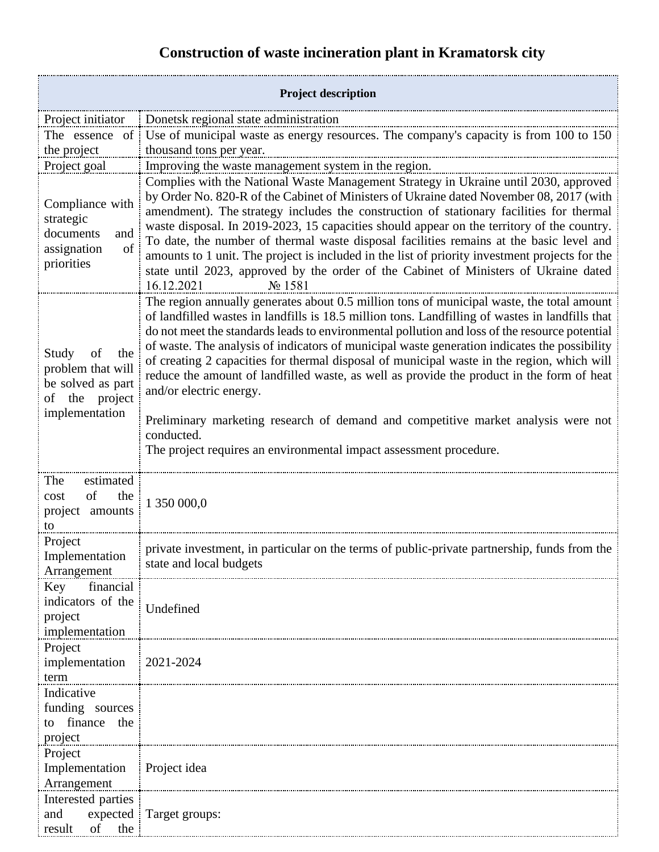## **Construction of waste incineration plant in Kramatorsk city**

| <b>Project description</b>                                                                       |                                                                                                                                                                                                                                                                                                                                                                                                                                                                                                                                                                                                                                                                                                                                                                                              |
|--------------------------------------------------------------------------------------------------|----------------------------------------------------------------------------------------------------------------------------------------------------------------------------------------------------------------------------------------------------------------------------------------------------------------------------------------------------------------------------------------------------------------------------------------------------------------------------------------------------------------------------------------------------------------------------------------------------------------------------------------------------------------------------------------------------------------------------------------------------------------------------------------------|
| Project initiator                                                                                | Donetsk regional state administration                                                                                                                                                                                                                                                                                                                                                                                                                                                                                                                                                                                                                                                                                                                                                        |
| The essence of                                                                                   | Use of municipal waste as energy resources. The company's capacity is from 100 to 150                                                                                                                                                                                                                                                                                                                                                                                                                                                                                                                                                                                                                                                                                                        |
| the project                                                                                      | thousand tons per year.                                                                                                                                                                                                                                                                                                                                                                                                                                                                                                                                                                                                                                                                                                                                                                      |
| Project goal                                                                                     | Improving the waste management system in the region.                                                                                                                                                                                                                                                                                                                                                                                                                                                                                                                                                                                                                                                                                                                                         |
| Compliance with<br>strategic<br>documents<br>and<br>of<br>assignation<br>priorities              | Complies with the National Waste Management Strategy in Ukraine until 2030, approved<br>by Order No. 820-R of the Cabinet of Ministers of Ukraine dated November 08, 2017 (with<br>amendment). The strategy includes the construction of stationary facilities for thermal<br>waste disposal. In 2019-2023, 15 capacities should appear on the territory of the country.<br>To date, the number of thermal waste disposal facilities remains at the basic level and<br>amounts to 1 unit. The project is included in the list of priority investment projects for the<br>state until 2023, approved by the order of the Cabinet of Ministers of Ukraine dated<br>16.12.2021<br>No 1581                                                                                                       |
| Study<br>of<br>the<br>problem that will<br>be solved as part<br>of the project<br>implementation | The region annually generates about 0.5 million tons of municipal waste, the total amount<br>of landfilled wastes in landfills is 18.5 million tons. Landfilling of wastes in landfills that<br>do not meet the standards leads to environmental pollution and loss of the resource potential<br>of waste. The analysis of indicators of municipal waste generation indicates the possibility<br>of creating 2 capacities for thermal disposal of municipal waste in the region, which will<br>reduce the amount of landfilled waste, as well as provide the product in the form of heat<br>and/or electric energy.<br>Preliminary marketing research of demand and competitive market analysis were not<br>conducted.<br>The project requires an environmental impact assessment procedure. |
| estimated<br>The<br>of<br>the<br>cost<br>project amounts<br>to                                   | 1 350 000,0                                                                                                                                                                                                                                                                                                                                                                                                                                                                                                                                                                                                                                                                                                                                                                                  |
| Project<br>Implementation<br>Arrangement                                                         | private investment, in particular on the terms of public-private partnership, funds from the<br>state and local budgets                                                                                                                                                                                                                                                                                                                                                                                                                                                                                                                                                                                                                                                                      |
| Key<br>financial<br>indicators of the<br>project<br>implementation                               | Undefined                                                                                                                                                                                                                                                                                                                                                                                                                                                                                                                                                                                                                                                                                                                                                                                    |
| Project<br>implementation<br>term                                                                | $2021 - 2024$                                                                                                                                                                                                                                                                                                                                                                                                                                                                                                                                                                                                                                                                                                                                                                                |
| Indicative<br>funding sources<br>finance the<br>to<br>project                                    |                                                                                                                                                                                                                                                                                                                                                                                                                                                                                                                                                                                                                                                                                                                                                                                              |
| Project<br>Implementation<br>Arrangement                                                         | Project idea                                                                                                                                                                                                                                                                                                                                                                                                                                                                                                                                                                                                                                                                                                                                                                                 |
| Interested parties<br>and<br>of<br>the<br>result                                                 | expected   Target groups:                                                                                                                                                                                                                                                                                                                                                                                                                                                                                                                                                                                                                                                                                                                                                                    |